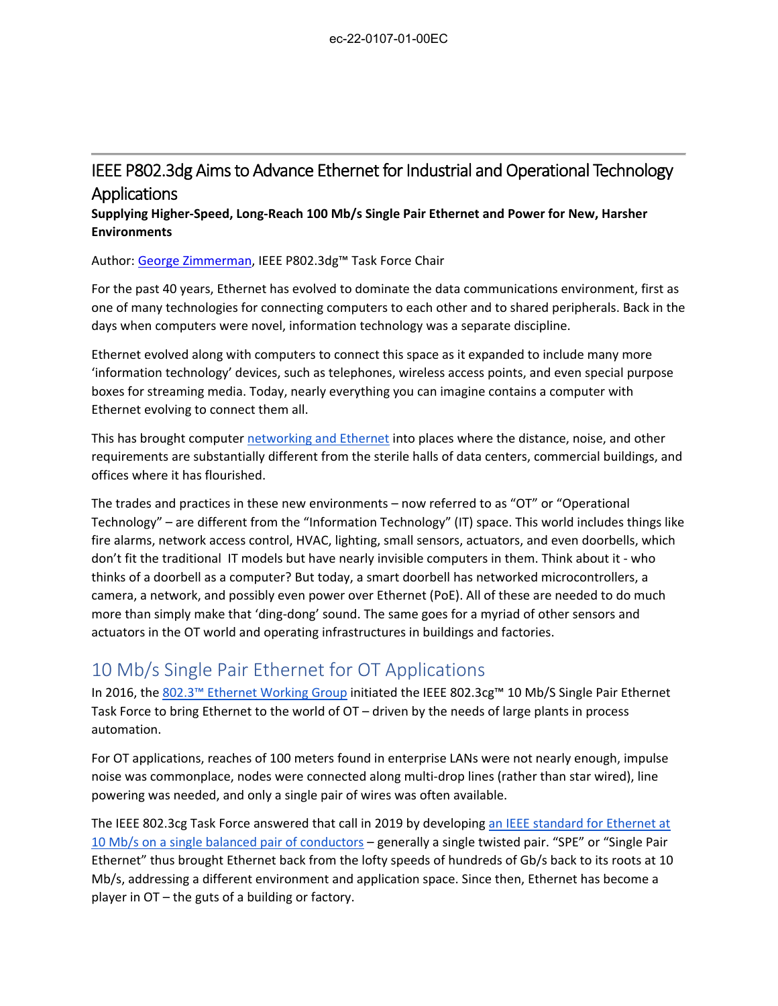## IEEE P802.3dg Aims to Advance Ethernet for Industrial and Operational Technology Applications

**Supplying Higher‐Speed, Long‐Reach 100 Mb/s Single Pair Ethernet and Power for New, Harsher Environments**

Author: George Zimmerman, IEEE P802.3dg™ Task Force Chair

For the past 40 years, Ethernet has evolved to dominate the data communications environment, first as one of many technologies for connecting computers to each other and to shared peripherals. Back in the days when computers were novel, information technology was a separate discipline.

Ethernet evolved along with computers to connect this space as it expanded to include many more 'information technology' devices, such as telephones, wireless access points, and even special purpose boxes for streaming media. Today, nearly everything you can imagine contains a computer with Ethernet evolving to connect them all.

This has brought computer networking and Ethernet into places where the distance, noise, and other requirements are substantially different from the sterile halls of data centers, commercial buildings, and offices where it has flourished.

The trades and practices in these new environments – now referred to as "OT" or "Operational Technology" – are different from the "Information Technology" (IT) space. This world includes things like fire alarms, network access control, HVAC, lighting, small sensors, actuators, and even doorbells, which don't fit the traditional IT models but have nearly invisible computers in them. Think about it ‐ who thinks of a doorbell as a computer? But today, a smart doorbell has networked microcontrollers, a camera, a network, and possibly even power over Ethernet (PoE). All of these are needed to do much more than simply make that 'ding‐dong' sound. The same goes for a myriad of other sensors and actuators in the OT world and operating infrastructures in buildings and factories.

## 10 Mb/s Single Pair Ethernet for OT Applications

In 2016, the 802.3™ Ethernet Working Group initiated the IEEE 802.3cg™ 10 Mb/S Single Pair Ethernet Task Force to bring Ethernet to the world of OT – driven by the needs of large plants in process automation.

For OT applications, reaches of 100 meters found in enterprise LANs were not nearly enough, impulse noise was commonplace, nodes were connected along multi‐drop lines (rather than star wired), line powering was needed, and only a single pair of wires was often available.

The IEEE 802.3cg Task Force answered that call in 2019 by developing an IEEE standard for Ethernet at 10 Mb/s on a single balanced pair of conductors – generally a single twisted pair. "SPE" or "Single Pair Ethernet" thus brought Ethernet back from the lofty speeds of hundreds of Gb/s back to its roots at 10 Mb/s, addressing a different environment and application space. Since then, Ethernet has become a player in OT – the guts of a building or factory.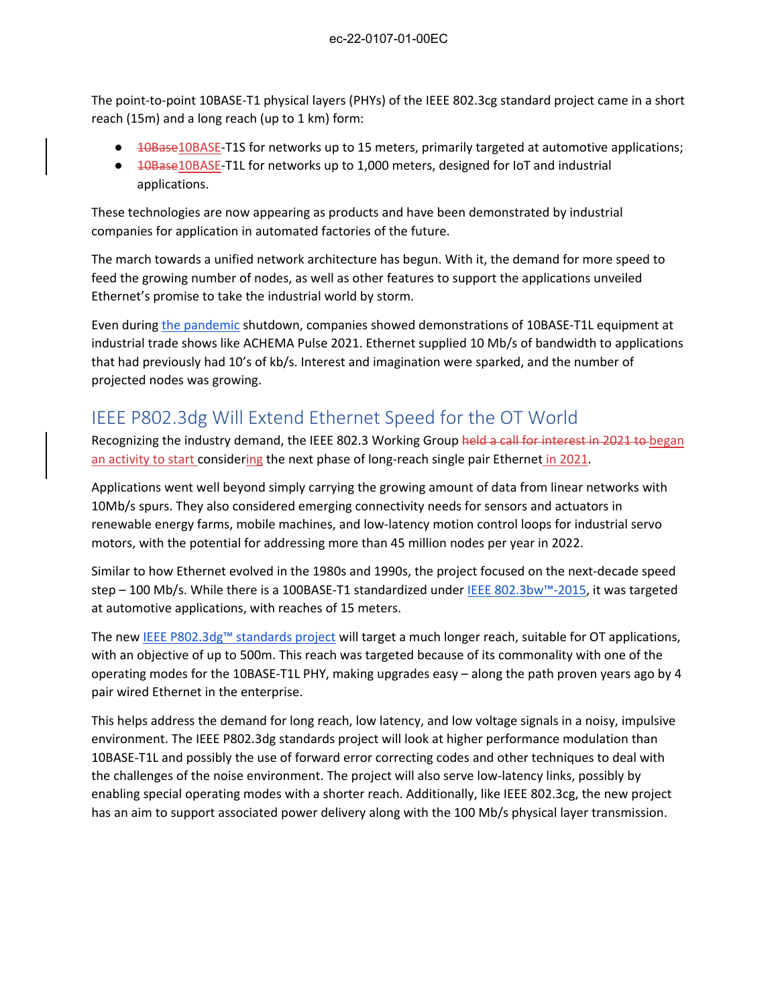The point-to-point 10BASE-T1 physical layers (PHYs) of the IEEE 802.3cg standard project came in a short reach (15m) and a long reach (up to 1 km) form:

- <del>10Base</del>10BASE-T1S for networks up to 15 meters, primarily targeted at automotive applications;
- <del>10Base10BASE</del>-T1L for networks up to 1,000 meters, designed for IoT and industrial applications.

These technologies are now appearing as products and have been demonstrated by industrial companies for application in automated factories of the future.

The march towards a unified network architecture has begun. With it, the demand for more speed to feed the growing number of nodes, as well as other features to support the applications unveiled Ethernet's promise to take the industrial world by storm.

Even during the pandemic shutdown, companies showed demonstrations of 10BASE‐T1L equipment at industrial trade shows like ACHEMA Pulse 2021. Ethernet supplied 10 Mb/s of bandwidth to applications that had previously had 10's of kb/s. Interest and imagination were sparked, and the number of projected nodes was growing.

## IEEE P802.3dg Will Extend Ethernet Speed for the OT World

Recognizing the industry demand, the IEEE 802.3 Working Group held a call for interest in 2021 to began an activity to start considering the next phase of long-reach single pair Ethernet in 2021.

Applications went well beyond simply carrying the growing amount of data from linear networks with 10Mb/s spurs. They also considered emerging connectivity needs for sensors and actuators in renewable energy farms, mobile machines, and low‐latency motion control loops for industrial servo motors, with the potential for addressing more than 45 million nodes per year in 2022.

Similar to how Ethernet evolved in the 1980s and 1990s, the project focused on the next‐decade speed step – 100 Mb/s. While there is a 100BASE-T1 standardized under IEEE 802.3bw™-2015, it was targeted at automotive applications, with reaches of 15 meters.

The new IEEE P802.3dg™ standards project will target a much longer reach, suitable for OT applications, with an objective of up to 500m. This reach was targeted because of its commonality with one of the operating modes for the 10BASE‐T1L PHY, making upgrades easy – along the path proven years ago by 4 pair wired Ethernet in the enterprise.

This helps address the demand for long reach, low latency, and low voltage signals in a noisy, impulsive environment. The IEEE P802.3dg standards project will look at higher performance modulation than 10BASE‐T1L and possibly the use of forward error correcting codes and other techniques to deal with the challenges of the noise environment. The project will also serve low-latency links, possibly by enabling special operating modes with a shorter reach. Additionally, like IEEE 802.3cg, the new project has an aim to support associated power delivery along with the 100 Mb/s physical layer transmission.